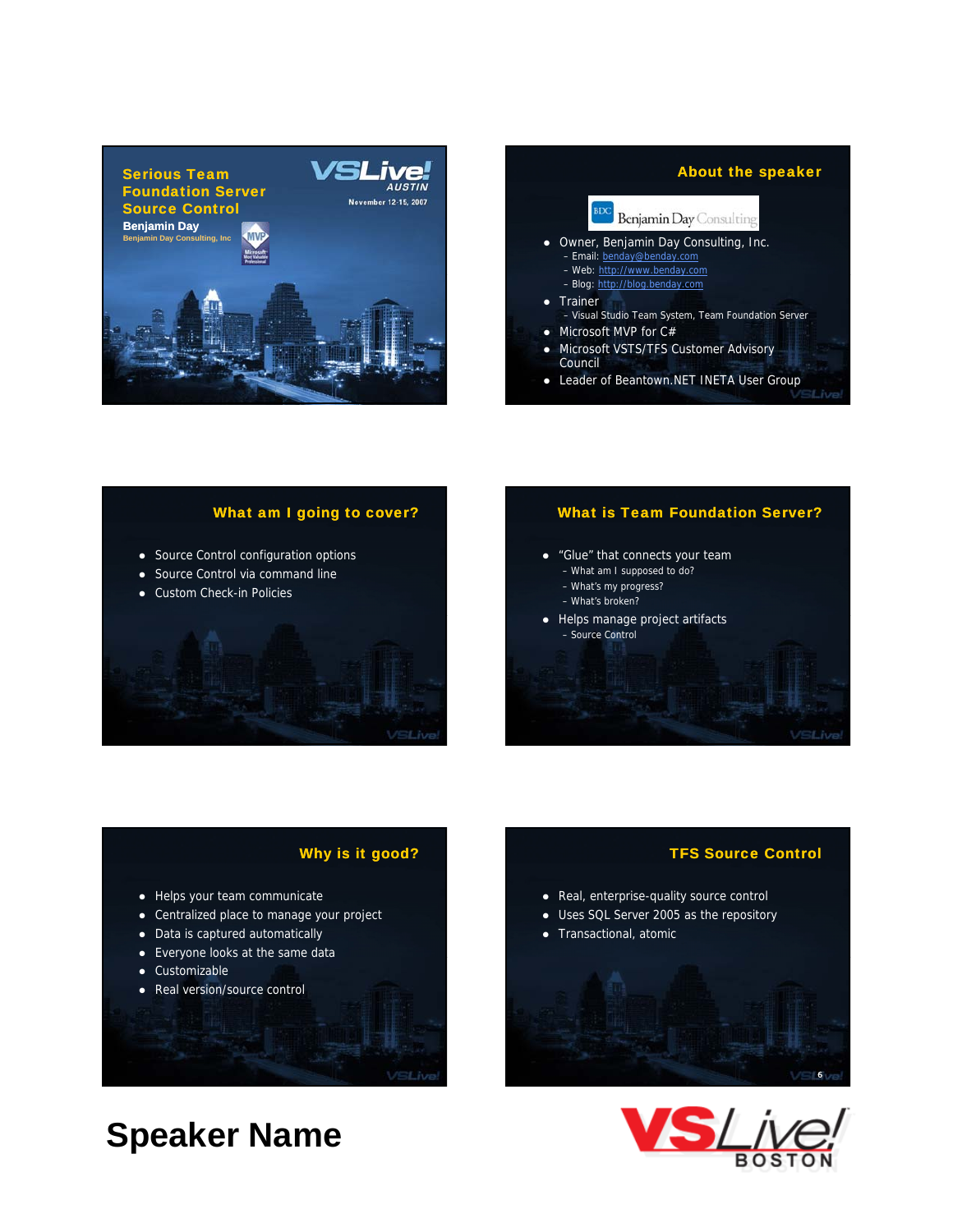



## What am I going to cover? • Source Control configuration options • Source Control via command line • Custom Check-in Policies **VSLive**

#### What is Team Foundation Server?

- "Glue" that connects your team
	- What am I supposed to do?
	- What's my progress?
	- What's broken?
- $\bullet$  Helps manage project artifacts – Source Control

#### Why is it good?

- Helps your team communicate
- Centralized place to manage your project
- Data is captured automatically
- $\bullet$  Everyone looks at the same data
- Customizable
- Real version/source control

#### VSLive

### **Speaker Name**

# • Real, enterprise-quality source control • Uses SQL Server 2005 as the repository • Transactional, atomic VSL<sup>6</sup>ve



TFS Source Control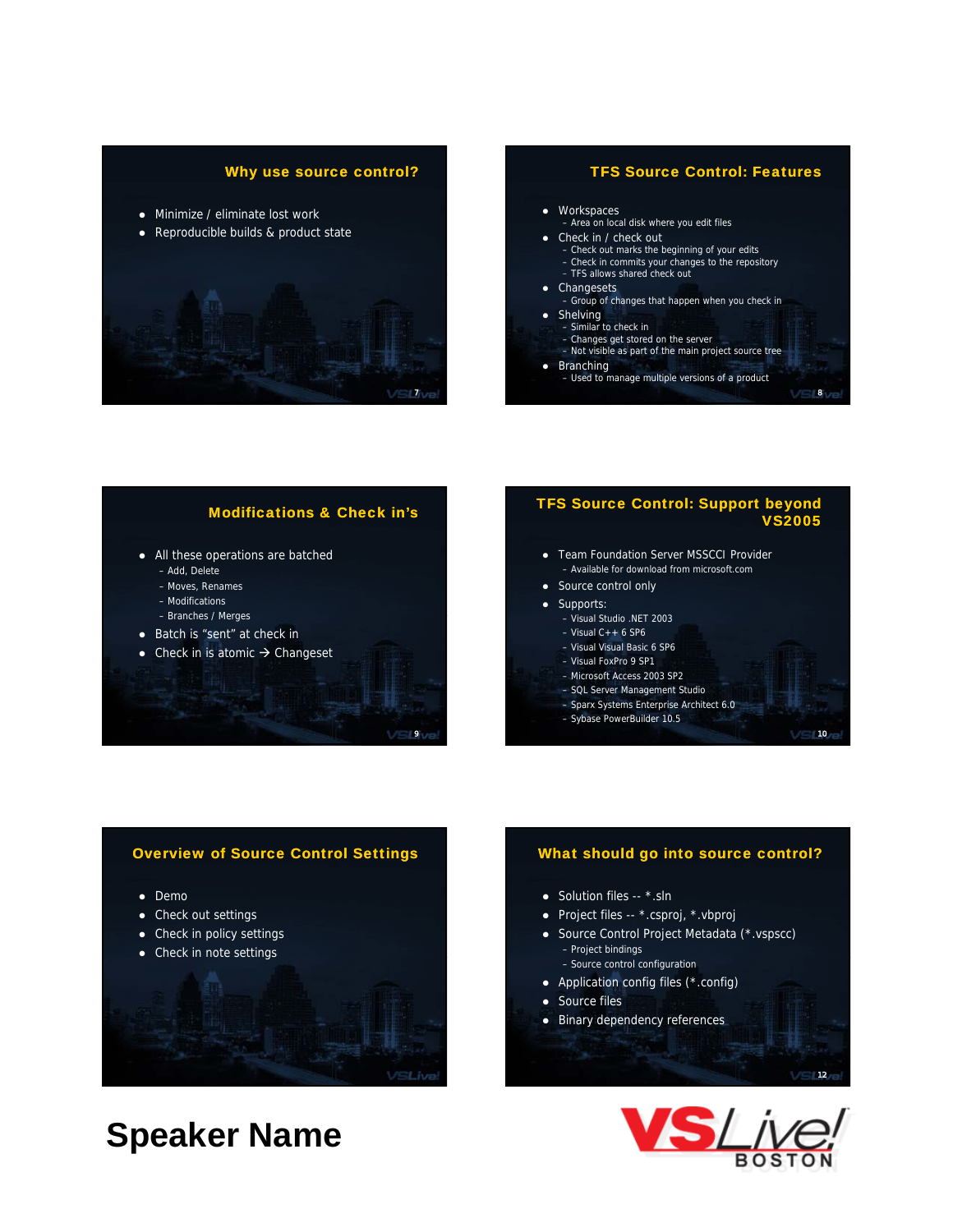#### Why use source control?

- Minimize / eliminate lost work
- Reproducible builds & product state





• Branching – Used to manage multiple versions of a product

8

#### Modifications & Check in's

**SLIve** 

- All these operations are batched
	- Add, Delete
	- Moves, Renames
	- Modifications
	- Branches / Merges
- Batch is "sent" at check in
- Check in is atomic  $\rightarrow$  Changeset

### **TFS Source Control: Support be** eyond<br>2000

- Team Foundation Server MSSCCI Provider – Available for download from microsoft.com
- Source control only
- Supports:
	- Visual Studio .NET 2003
	- $-$  Visual C $++$  6 SP6
	- Visual Visual Basic 6 SP6
	- Visual FoxPro 9 SP1
	- Microsoft Access 2003 SP2
	- SQL Server Management Studio
	- Sparx Systems Enterprise Architect 6.0
	- Sybase PowerBuilder 10.5

#### 10<sub>76</sub>

12/6



#### What should go into source control?

- $\bullet$  Solution files --  $*$ .sln
- Project files -- \*.csproj, \*.vbproj
- Source Control Project Metadata (\*.vspscc) – Project bindings
	- Source control configuration
- Application config files (\*.config)
- Source files
- Binary dependency references

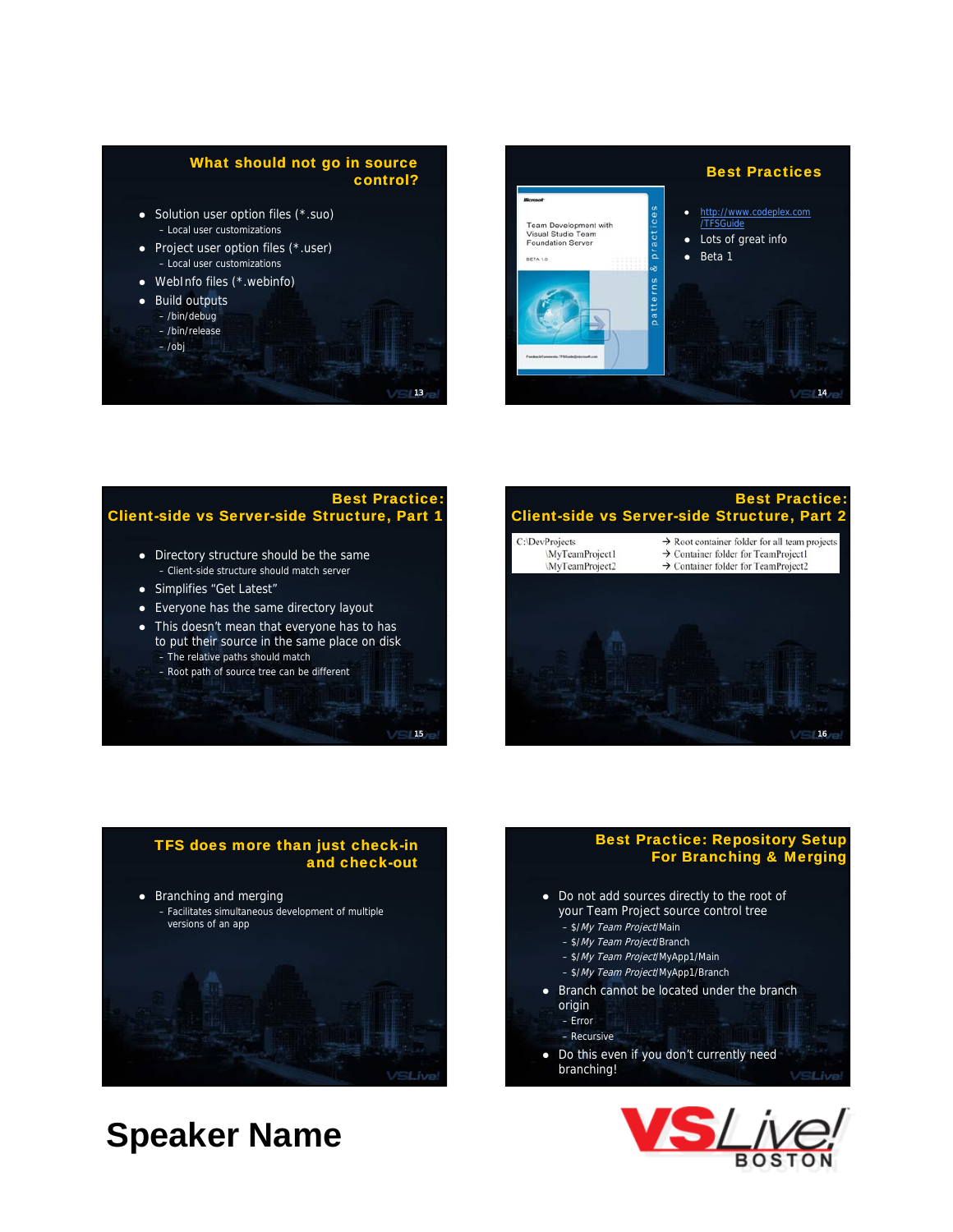#### What should not go in source control?

13

**VSLIve** 

- $\bullet$  Solution user option files ( $\star$ .suo) – Local user customizations
- $\bullet$  Project user option files (\*.user) – Local user customizations
- $\bullet$  WebInfo files (\*.webinfo)
- Build outputs
	- /bin/debug
	- /bin/release
	- /obj

Best Practices http://www.codeplex.com Team Development with<br>Visual Studio Team<br>Foundation Server /TFSGuide pract • Lots of great info  $\bullet$  Beta 1 BETA 1.0 14

#### **Best Practic** Client-side vs Server-side Structure, Part 1

- Directory structure should be the same – Client-side structure should match server
- Simplifies "Get Latest"
- Everyone has the same directory layout
- This doesn't mean that everyone has to has to put their source in the same place on disk – The relative paths should match
	- Root path of source tree can be different





#### Best Practice: Repository Setup For Branching & Merging

- Do not add sources directly to the root of your Team Project source control tree
	- \$/My Team Project/Main
	- \$/My Team Project/Branch
	- \$/My Team Project/MyApp1/Main
	- \$/My Team Project/MyApp1/Branch
- Branch cannot be located under the branch origin – Error
- Recursive
- Do this even if you don't currently need branching!/SLive

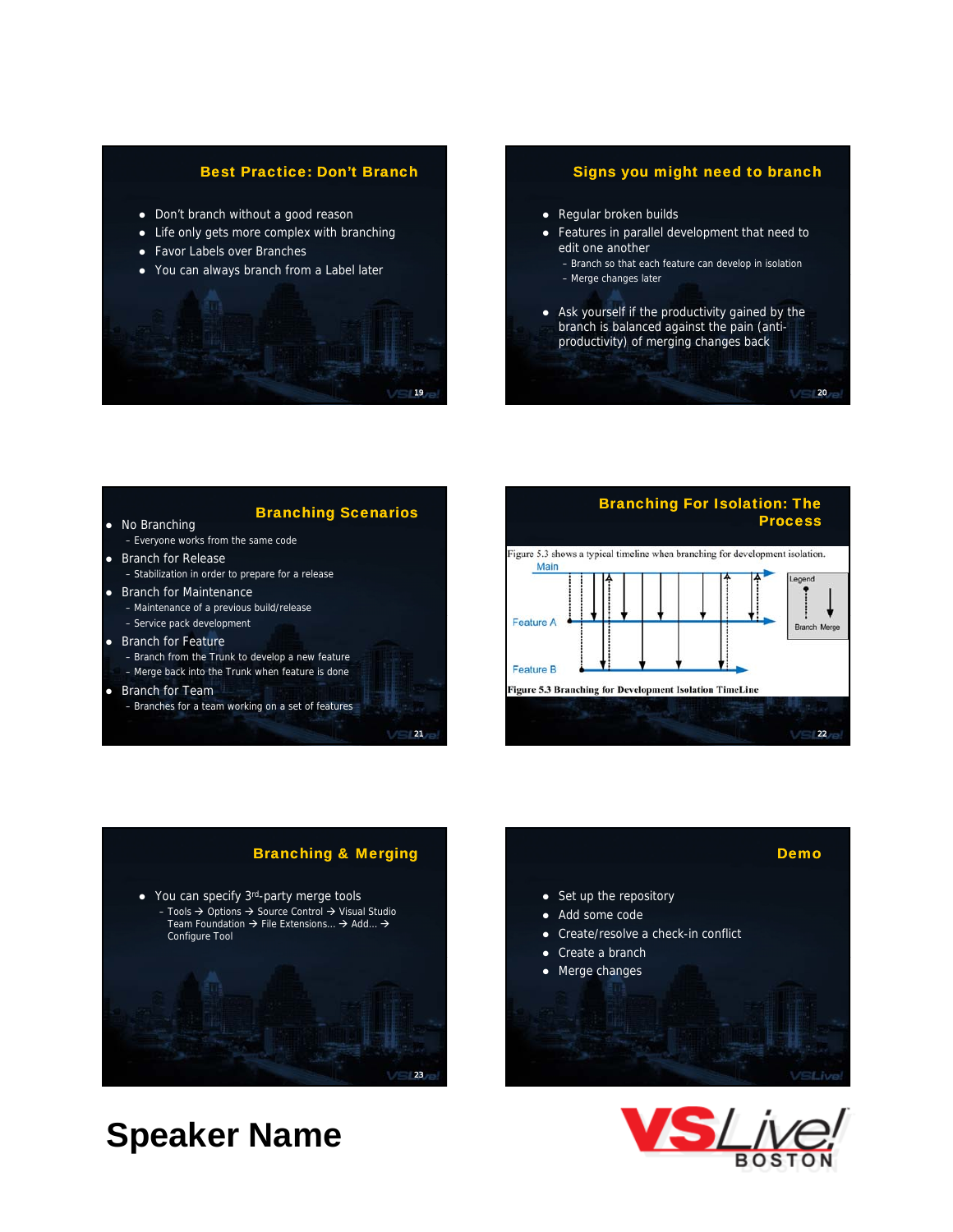#### Best Practice: Don't Branch

- Don't branch without a good reason
- Life only gets more complex with branching
- Favor Labels over Branches
- You can always branch from a Label later



#### Signs you might need to branch

- Regular broken builds
- Features in parallel development that need to edit one another
	- Branch so that each feature can develop in isolation – Merge changes later
		-
- Ask yourself if the productivity gained by the branch is balanced against the pain (antiproductivity) of merging changes back

20











- 
- 
- 
- 
-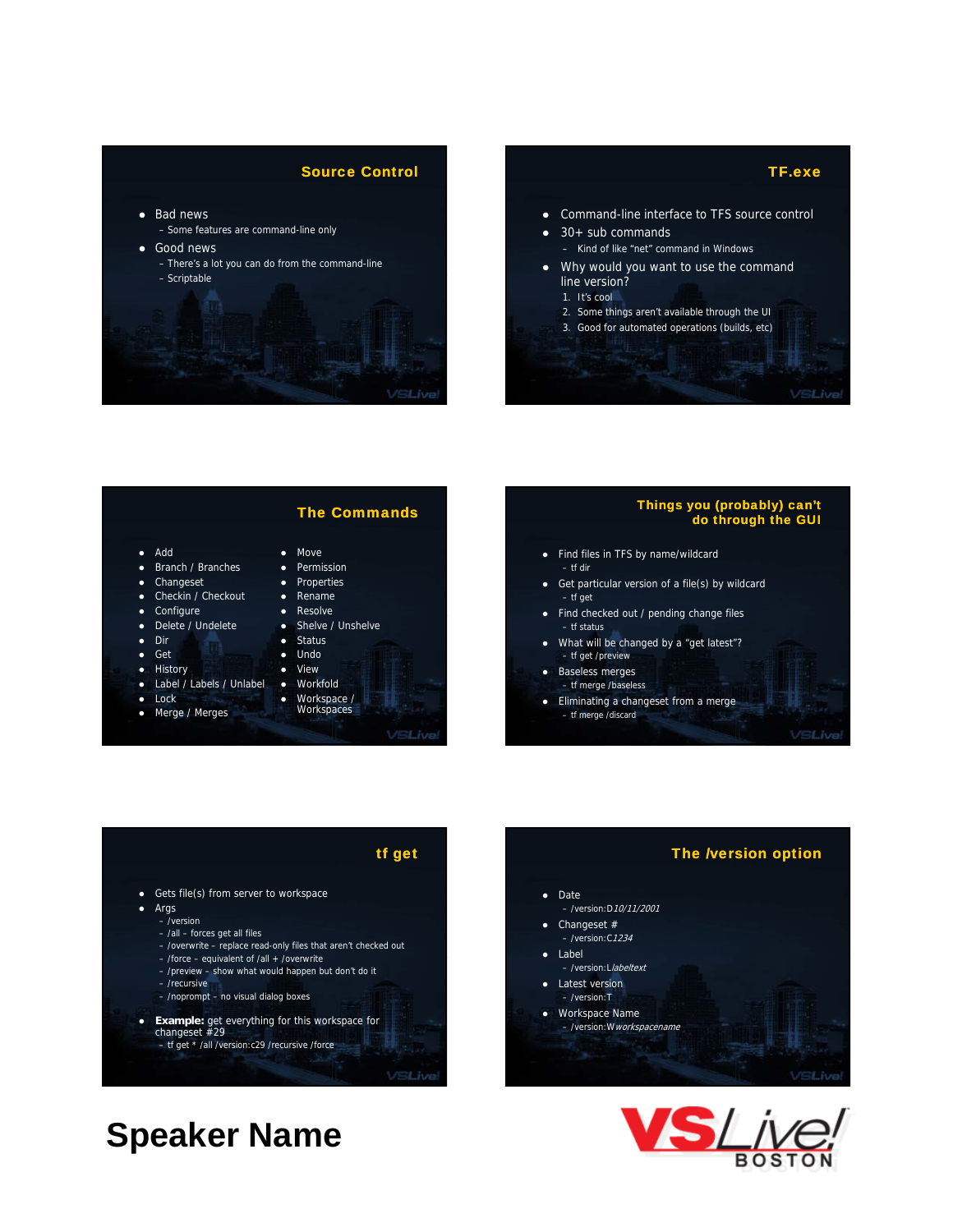



#### The Commands

- z Add
- Branch / Branches
- Changeset
- Checkin / Checkout
- Configure
- Delete / Undelete
- Dir
- $\bullet$  Get
- History
- Label / Labels / Unlabel
- $\bullet$  Lock
- Merge / Merges

#### • Move

- Permission • Properties
- $\bullet$  Rename
- $\bullet$  Resolve
- Shelve / Unshelve
- $\bullet$  Status
- $\bullet$  Undo
- View
- $Morkfold$
- Workspace /
- **Workspaces**

VSLive!

#### Things you (probably) can't do through the GUI

- Find files in TFS by name/wildcard – tf dir
- $\bullet$  Get particular version of a file(s) by wildcard – tf get
- Find checked out / pending change files – tf status
- What will be changed by a "get latest"? – tf get /preview
- Baseless merges
- tf merge /baseless • Eliminating a changeset from a merge
	- tf merge /discard

VSLive

#### tf get

- Gets file(s) from server to workspace
- $\bullet$  Args
	- /version – /all – forces get all files
	- /overwrite replace read-only files that aren't checked out
	- /force equivalent of /all + /overwrite
	- /preview show what would happen but don't do it
	- /recursive
	- /noprompt no visual dialog boxes
	-
- **•** Example: get everything for this workspace for changeset #29 – tf get \* /all /version:c29 /recursive /force
	-

VSLive





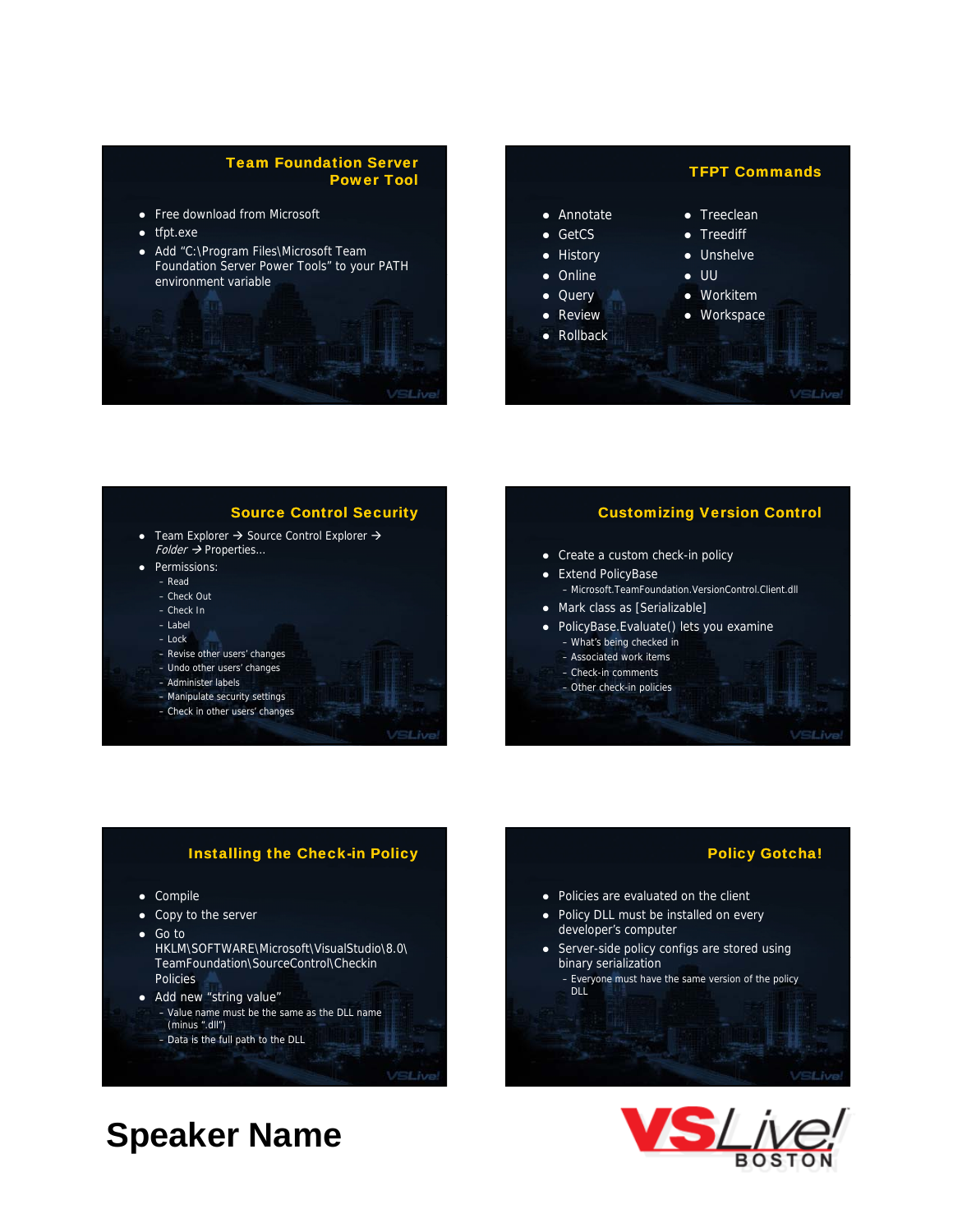#### Team Foundation Server Power Tool

- Free download from Microsoft
- $\bullet$  tfpt.exe
- Add "C:\Program Files\Microsoft Team Foundation Server Power Tools" to your PATH environment variable



#### Source Control Security • Team Explorer  $\rightarrow$  Source Control Explorer  $\rightarrow$  $Folder \rightarrow$  Properties... • Permissions: – Check Out – Check In

#### Customizing Version Control

- Create a custom check-in policy
- Extend PolicyBase
	- Microsoft.TeamFoundation.VersionControl.Client.dll
- Mark class as [Serializable]
- PolicyBase.Evaluate() lets you examine

• Policies are evaluated on the client • Policy DLL must be installed on every

• Server-side policy configs are stored using

– Everyone must have the same version of the policy

developer's computer

binary serialization

DLL.

- What's being checked in
- Associated work items
- Check-in comments
- Other check-in policies

VSLive

Policy Gotcha!

#### **Installing the Check-in Policy**

• Compile

– Read

– Label  $-$  Lock

– Revise other users' changes – Undo other users' changes – Administer labels – Manipulate security settings – Check in other users' changes

- Copy to the server
- $\bullet$  Go to HKLM\SOFTWARE\Microsoft\VisualStudio\8.0\ TeamFoundation\SourceControl\Checkin **Policies**
- Add new "string value" – Value name must be the same as the DLL name (minus ".dll")
	- Data is the full path to the DLL

**VSLive**